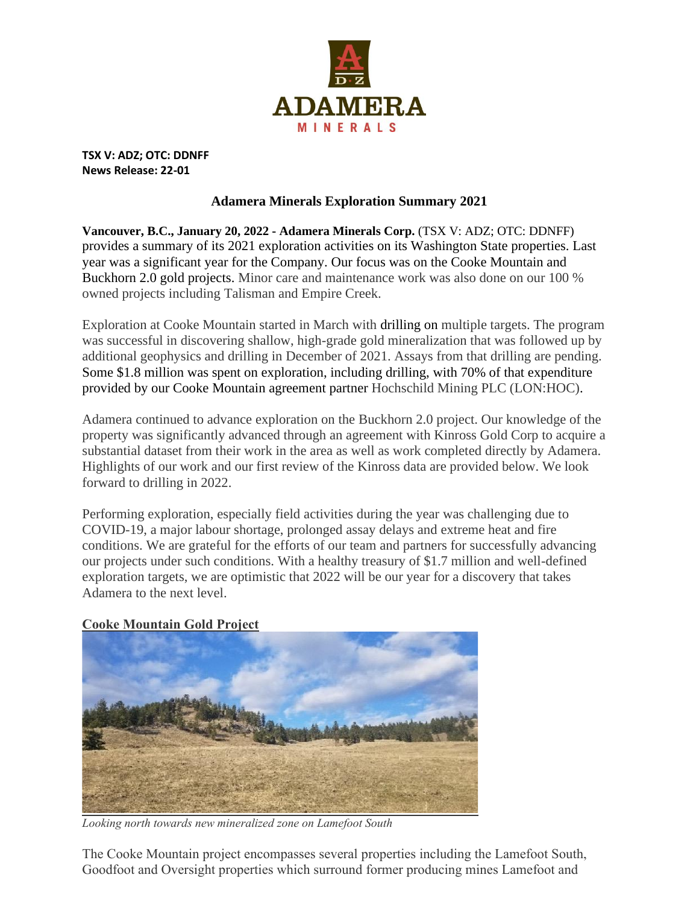

**TSX V: ADZ; OTC: DDNFF News Release: 22-01**

### **Adamera Minerals Exploration Summary 2021**

**Vancouver, B.C., January 20, 2022 - Adamera Minerals Corp.** (TSX V: ADZ; OTC: DDNFF) provides a summary of its 2021 exploration activities on its Washington State properties. Last year was a significant year for the Company. Our focus was on the Cooke Mountain and Buckhorn 2.0 gold projects. Minor care and maintenance work was also done on our 100 % owned projects including Talisman and Empire Creek.

Exploration at Cooke Mountain started in March with drilling on multiple targets. The program was successful in discovering shallow, high-grade gold mineralization that was followed up by additional geophysics and drilling in December of 2021. Assays from that drilling are pending. Some \$1.8 million was spent on exploration, including drilling, with 70% of that expenditure provided by our Cooke Mountain agreement partner Hochschild Mining PLC (LON:HOC).

Adamera continued to advance exploration on the Buckhorn 2.0 project. Our knowledge of the property was significantly advanced through an agreement with Kinross Gold Corp to acquire a substantial dataset from their work in the area as well as work completed directly by Adamera. Highlights of our work and our first review of the Kinross data are provided below. We look forward to drilling in 2022.

Performing exploration, especially field activities during the year was challenging due to COVID-19, a major labour shortage, prolonged assay delays and extreme heat and fire conditions. We are grateful for the efforts of our team and partners for successfully advancing our projects under such conditions. With a healthy treasury of \$1.7 million and well-defined exploration targets, we are optimistic that 2022 will be our year for a discovery that takes Adamera to the next level.

#### **Cooke Mountain Gold Project**



*Looking north towards new mineralized zone on Lamefoot South* 

The Cooke Mountain project encompasses several properties including the Lamefoot South, Goodfoot and Oversight properties which surround former producing mines Lamefoot and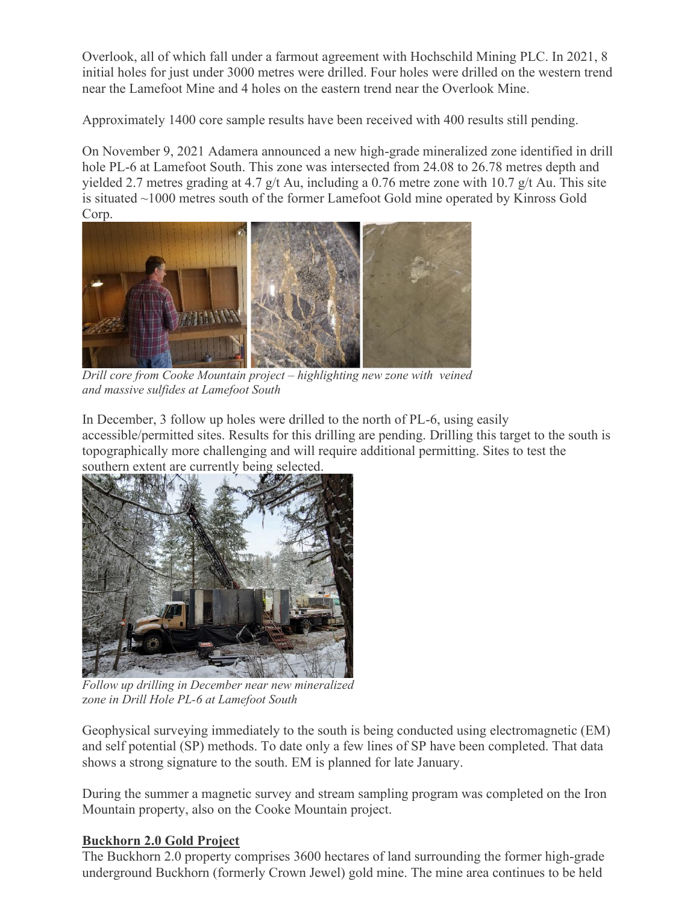Overlook, all of which fall under a farmout agreement with Hochschild Mining PLC. In 2021, 8 initial holes for just under 3000 metres were drilled. Four holes were drilled on the western trend near the Lamefoot Mine and 4 holes on the eastern trend near the Overlook Mine.

Approximately 1400 core sample results have been received with 400 results still pending.

On November 9, 2021 Adamera announced a new high-grade mineralized zone identified in drill hole PL-6 at Lamefoot South. This zone was intersected from 24.08 to 26.78 metres depth and yielded 2.7 metres grading at 4.7 g/t Au, including a 0.76 metre zone with 10.7 g/t Au. This site is situated ~1000 metres south of the former Lamefoot Gold mine operated by Kinross Gold Corp.



*Drill core from Cooke Mountain project – highlighting new zone with veined and massive sulfides at Lamefoot South* 

In December, 3 follow up holes were drilled to the north of PL-6, using easily

accessible/permitted sites. Results for this drilling are pending. Drilling this target to the south is topographically more challenging and will require additional permitting. Sites to test the southern extent are currently being selected.



*Follow up drilling in December near new mineralized* z*one in Drill Hole PL-6 at Lamefoot South*

Geophysical surveying immediately to the south is being conducted using electromagnetic (EM) and self potential (SP) methods. To date only a few lines of SP have been completed. That data shows a strong signature to the south. EM is planned for late January.

During the summer a magnetic survey and stream sampling program was completed on the Iron Mountain property, also on the Cooke Mountain project.

# **Buckhorn 2.0 Gold Project**

The Buckhorn 2.0 property comprises 3600 hectares of land surrounding the former high-grade underground Buckhorn (formerly Crown Jewel) gold mine. The mine area continues to be held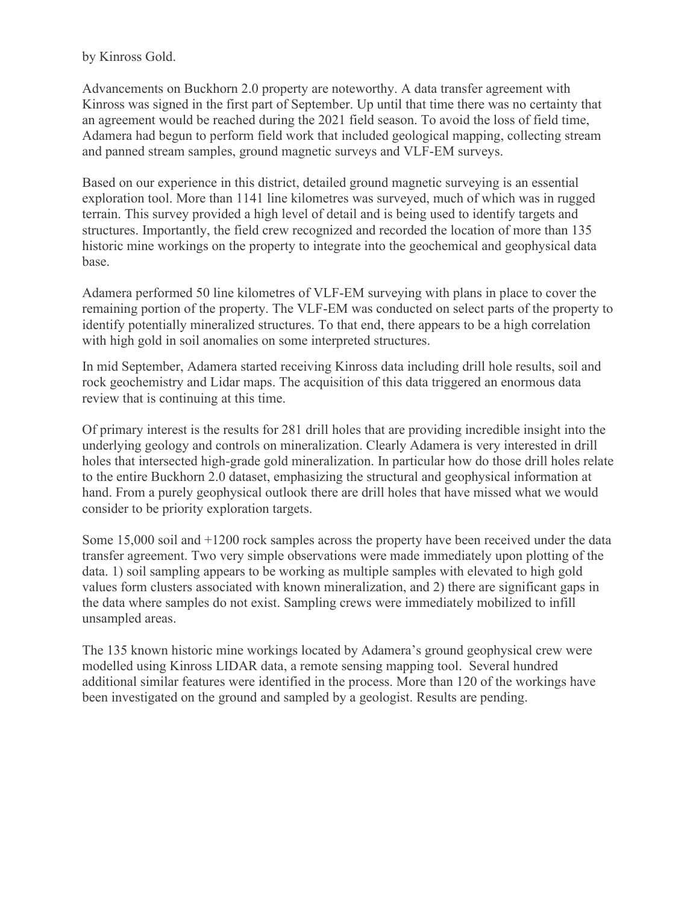by Kinross Gold.

Advancements on Buckhorn 2.0 property are noteworthy. A data transfer agreement with Kinross was signed in the first part of September. Up until that time there was no certainty that an agreement would be reached during the 2021 field season. To avoid the loss of field time, Adamera had begun to perform field work that included geological mapping, collecting stream and panned stream samples, ground magnetic surveys and VLF-EM surveys.

Based on our experience in this district, detailed ground magnetic surveying is an essential exploration tool. More than 1141 line kilometres was surveyed, much of which was in rugged terrain. This survey provided a high level of detail and is being used to identify targets and structures. Importantly, the field crew recognized and recorded the location of more than 135 historic mine workings on the property to integrate into the geochemical and geophysical data base.

Adamera performed 50 line kilometres of VLF-EM surveying with plans in place to cover the remaining portion of the property. The VLF-EM was conducted on select parts of the property to identify potentially mineralized structures. To that end, there appears to be a high correlation with high gold in soil anomalies on some interpreted structures.

In mid September, Adamera started receiving Kinross data including drill hole results, soil and rock geochemistry and Lidar maps. The acquisition of this data triggered an enormous data review that is continuing at this time.

Of primary interest is the results for 281 drill holes that are providing incredible insight into the underlying geology and controls on mineralization. Clearly Adamera is very interested in drill holes that intersected high-grade gold mineralization. In particular how do those drill holes relate to the entire Buckhorn 2.0 dataset, emphasizing the structural and geophysical information at hand. From a purely geophysical outlook there are drill holes that have missed what we would consider to be priority exploration targets.

Some 15,000 soil and +1200 rock samples across the property have been received under the data transfer agreement. Two very simple observations were made immediately upon plotting of the data. 1) soil sampling appears to be working as multiple samples with elevated to high gold values form clusters associated with known mineralization, and 2) there are significant gaps in the data where samples do not exist. Sampling crews were immediately mobilized to infill unsampled areas.

The 135 known historic mine workings located by Adamera's ground geophysical crew were modelled using Kinross LIDAR data, a remote sensing mapping tool. Several hundred additional similar features were identified in the process. More than 120 of the workings have been investigated on the ground and sampled by a geologist. Results are pending.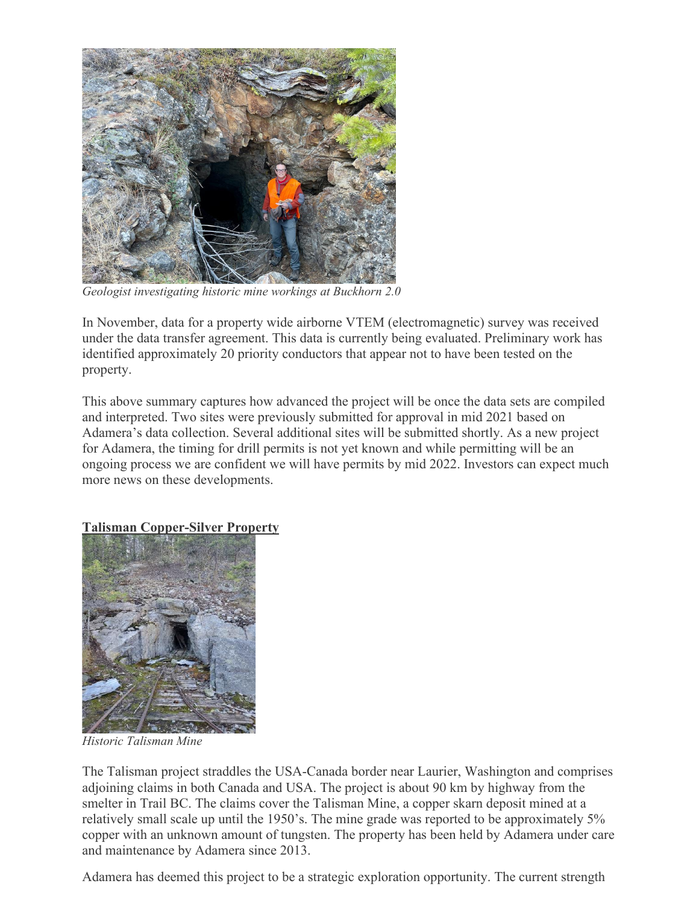

*Geologist investigating historic mine workings at Buckhorn 2.0*

In November, data for a property wide airborne VTEM (electromagnetic) survey was received under the data transfer agreement. This data is currently being evaluated. Preliminary work has identified approximately 20 priority conductors that appear not to have been tested on the property.

This above summary captures how advanced the project will be once the data sets are compiled and interpreted. Two sites were previously submitted for approval in mid 2021 based on Adamera's data collection. Several additional sites will be submitted shortly. As a new project for Adamera, the timing for drill permits is not yet known and while permitting will be an ongoing process we are confident we will have permits by mid 2022. Investors can expect much more news on these developments.

### **Talisman Copper-Silver Property**



*Historic Talisman Mine* 

The Talisman project straddles the USA-Canada border near Laurier, Washington and comprises adjoining claims in both Canada and USA. The project is about 90 km by highway from the smelter in Trail BC. The claims cover the Talisman Mine, a copper skarn deposit mined at a relatively small scale up until the 1950's. The mine grade was reported to be approximately 5% copper with an unknown amount of tungsten. The property has been held by Adamera under care and maintenance by Adamera since 2013.

Adamera has deemed this project to be a strategic exploration opportunity. The current strength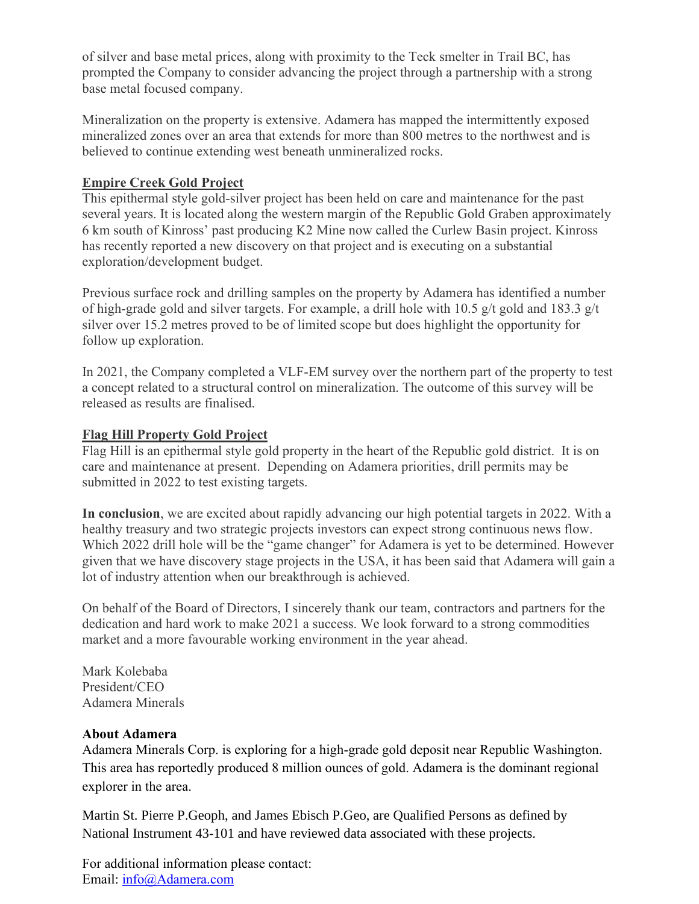of silver and base metal prices, along with proximity to the Teck smelter in Trail BC, has prompted the Company to consider advancing the project through a partnership with a strong base metal focused company.

Mineralization on the property is extensive. Adamera has mapped the intermittently exposed mineralized zones over an area that extends for more than 800 metres to the northwest and is believed to continue extending west beneath unmineralized rocks.

## **Empire Creek Gold Project**

This epithermal style gold-silver project has been held on care and maintenance for the past several years. It is located along the western margin of the Republic Gold Graben approximately 6 km south of Kinross' past producing K2 Mine now called the Curlew Basin project. Kinross has recently reported a new discovery on that project and is executing on a substantial exploration/development budget.

Previous surface rock and drilling samples on the property by Adamera has identified a number of high-grade gold and silver targets. For example, a drill hole with 10.5 g/t gold and 183.3 g/t silver over 15.2 metres proved to be of limited scope but does highlight the opportunity for follow up exploration.

In 2021, the Company completed a VLF-EM survey over the northern part of the property to test a concept related to a structural control on mineralization. The outcome of this survey will be released as results are finalised.

### **Flag Hill Property Gold Project**

Flag Hill is an epithermal style gold property in the heart of the Republic gold district. It is on care and maintenance at present. Depending on Adamera priorities, drill permits may be submitted in 2022 to test existing targets.

**In conclusion**, we are excited about rapidly advancing our high potential targets in 2022. With a healthy treasury and two strategic projects investors can expect strong continuous news flow. Which 2022 drill hole will be the "game changer" for Adamera is yet to be determined. However given that we have discovery stage projects in the USA, it has been said that Adamera will gain a lot of industry attention when our breakthrough is achieved.

On behalf of the Board of Directors, I sincerely thank our team, contractors and partners for the dedication and hard work to make 2021 a success. We look forward to a strong commodities market and a more favourable working environment in the year ahead.

Mark Kolebaba President/CEO Adamera Minerals

### **About Adamera**

Adamera Minerals Corp. is exploring for a high-grade gold deposit near Republic Washington. This area has reportedly produced 8 million ounces of gold. Adamera is the dominant regional explorer in the area.

Martin St. Pierre P.Geoph, and James Ebisch P.Geo, are Qualified Persons as defined by National Instrument 43-101 and have reviewed data associated with these projects.

For additional information please contact: Email: [info@Adamera.com](mailto:info@Adamera.com)